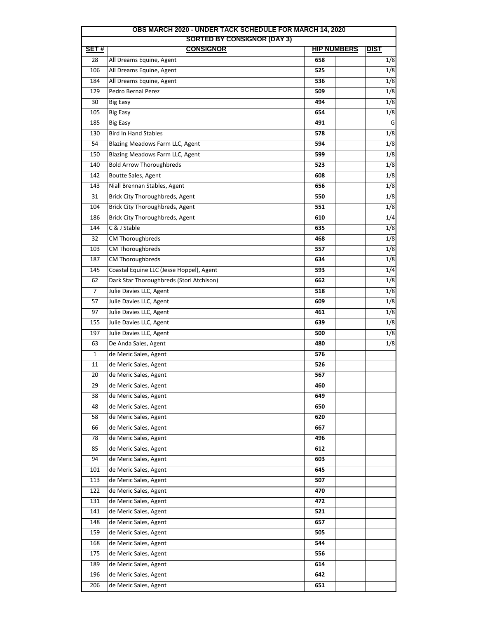| OBS MARCH 2020 - UNDER TACK SCHEDULE FOR MARCH 14, 2020<br><b>SORTED BY CONSIGNOR (DAY 3)</b> |                                          |                    |                  |  |  |
|-----------------------------------------------------------------------------------------------|------------------------------------------|--------------------|------------------|--|--|
| SET#                                                                                          | <b>CONSIGNOR</b>                         | <b>HIP NUMBERS</b> | <b>DIST</b>      |  |  |
| 28                                                                                            | All Dreams Equine, Agent                 | 658                | 1/8              |  |  |
| 106                                                                                           | All Dreams Equine, Agent                 | 525                | 1/8              |  |  |
| 184                                                                                           | All Dreams Equine, Agent                 | 536                | 1/8              |  |  |
| 129                                                                                           | Pedro Bernal Perez                       | 509                | 1/8              |  |  |
| 30                                                                                            | <b>Big Easy</b>                          | 494                | 1/8              |  |  |
| 105                                                                                           | <b>Big Easy</b>                          | 654                | 1/8              |  |  |
| 185                                                                                           | <b>Big Easy</b>                          | 491                | G                |  |  |
| 130                                                                                           | <b>Bird In Hand Stables</b>              | 578                | $\overline{1/8}$ |  |  |
| 54                                                                                            | Blazing Meadows Farm LLC, Agent          | 594                | 1/8              |  |  |
| 150                                                                                           | Blazing Meadows Farm LLC, Agent          | 599                | 1/8              |  |  |
| 140                                                                                           | <b>Bold Arrow Thoroughbreds</b>          | 523                | $\overline{1/8}$ |  |  |
| 142                                                                                           | Boutte Sales, Agent                      | 608                | 1/8              |  |  |
| 143                                                                                           | Niall Brennan Stables, Agent             | 656                | 1/8              |  |  |
| 31                                                                                            | Brick City Thoroughbreds, Agent          | 550                | 1/8              |  |  |
| 104                                                                                           | Brick City Thoroughbreds, Agent          | 551                | 1/8              |  |  |
| 186                                                                                           | Brick City Thoroughbreds, Agent          | 610                | 1/4              |  |  |
| 144                                                                                           | C & J Stable                             | 635                | 1/8              |  |  |
| 32                                                                                            | CM Thoroughbreds                         | 468                | 1/8              |  |  |
| 103                                                                                           | CM Thoroughbreds                         | 557                | 1/8              |  |  |
| 187                                                                                           | CM Thoroughbreds                         |                    | 1/8              |  |  |
| 145                                                                                           |                                          | 634                | 1/4              |  |  |
|                                                                                               | Coastal Equine LLC (Jesse Hoppel), Agent | 593                |                  |  |  |
| 62                                                                                            | Dark Star Thoroughbreds (Stori Atchison) | 662                | 1/8              |  |  |
| 7                                                                                             | Julie Davies LLC, Agent                  | 518                | 1/8              |  |  |
| 57                                                                                            | Julie Davies LLC, Agent                  | 609                | 1/8              |  |  |
| 97                                                                                            | Julie Davies LLC, Agent                  | 461                | 1/8              |  |  |
| 155                                                                                           | Julie Davies LLC, Agent                  | 639                | 1/8              |  |  |
| 197                                                                                           | Julie Davies LLC, Agent                  | 500                | 1/8              |  |  |
| 63                                                                                            | De Anda Sales, Agent                     | 480                | 1/8              |  |  |
| $\mathbf{1}$                                                                                  | de Meric Sales, Agent                    | 576                |                  |  |  |
| 11                                                                                            | de Meric Sales, Agent                    | 526                |                  |  |  |
| 20                                                                                            | de Meric Sales, Agent                    | 567                |                  |  |  |
| 29                                                                                            | de Meric Sales, Agent                    | 460                |                  |  |  |
| 38                                                                                            | de Meric Sales, Agent                    | 649                |                  |  |  |
| 48                                                                                            | de Meric Sales, Agent                    | 650                |                  |  |  |
| 58                                                                                            | de Meric Sales, Agent                    | 620                |                  |  |  |
| 66                                                                                            | de Meric Sales, Agent                    | 667                |                  |  |  |
| 78                                                                                            | de Meric Sales, Agent                    | 496                |                  |  |  |
| 85                                                                                            | de Meric Sales, Agent                    | 612                |                  |  |  |
| 94                                                                                            | de Meric Sales, Agent                    | 603                |                  |  |  |
| 101                                                                                           | de Meric Sales, Agent                    | 645                |                  |  |  |
| 113                                                                                           | de Meric Sales, Agent                    | 507                |                  |  |  |
| 122                                                                                           | de Meric Sales, Agent                    | 470                |                  |  |  |
| 131                                                                                           | de Meric Sales, Agent                    | 472                |                  |  |  |
| 141                                                                                           | de Meric Sales, Agent                    | 521                |                  |  |  |
| 148                                                                                           | de Meric Sales, Agent                    | 657                |                  |  |  |
| 159                                                                                           | de Meric Sales, Agent                    | 505                |                  |  |  |
| 168                                                                                           | de Meric Sales, Agent                    | 544                |                  |  |  |
| 175                                                                                           | de Meric Sales, Agent                    | 556                |                  |  |  |
| 189                                                                                           | de Meric Sales, Agent                    | 614                |                  |  |  |
| 196                                                                                           | de Meric Sales, Agent                    | 642                |                  |  |  |
| 206                                                                                           | de Meric Sales, Agent                    | 651                |                  |  |  |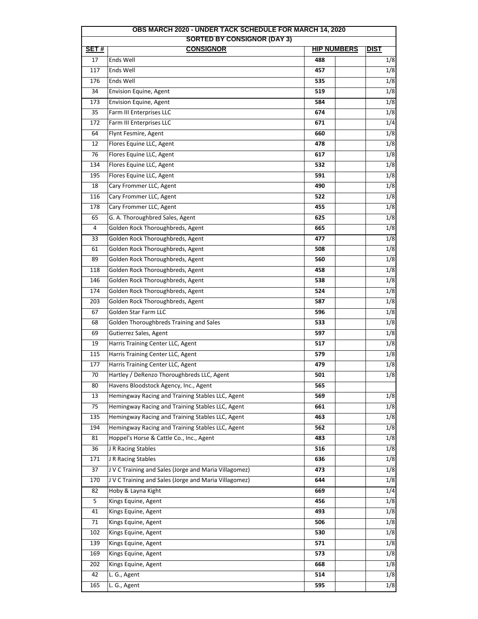| <b>OBS MARCH 2020 - UNDER TACK SCHEDULE FOR MARCH 14, 2020</b>                                      |                                                                                                      |            |                  |  |  |  |
|-----------------------------------------------------------------------------------------------------|------------------------------------------------------------------------------------------------------|------------|------------------|--|--|--|
| <b>SORTED BY CONSIGNOR (DAY 3)</b><br><b>CONSIGNOR</b><br><b>HIP NUMBERS</b><br>SET#<br><b>DIST</b> |                                                                                                      |            |                  |  |  |  |
| 17                                                                                                  | Ends Well                                                                                            | 488        | 1/8              |  |  |  |
| 117                                                                                                 | Ends Well                                                                                            | 457        | 1/8              |  |  |  |
| 176                                                                                                 | Ends Well                                                                                            | 535        | 1/8              |  |  |  |
| 34                                                                                                  | Envision Equine, Agent                                                                               | 519        | 1/8              |  |  |  |
| 173                                                                                                 | Envision Equine, Agent                                                                               | 584        | 1/8              |  |  |  |
| 35                                                                                                  | Farm III Enterprises LLC                                                                             | 674        | 1/8              |  |  |  |
| 172                                                                                                 | Farm III Enterprises LLC                                                                             | 671        | 1/4              |  |  |  |
| 64                                                                                                  | Flynt Fesmire, Agent                                                                                 | 660        | 1/8              |  |  |  |
| 12                                                                                                  | Flores Equine LLC, Agent                                                                             | 478        | 1/8              |  |  |  |
| 76                                                                                                  | Flores Equine LLC, Agent                                                                             | 617        | 1/8              |  |  |  |
| 134                                                                                                 | Flores Equine LLC, Agent                                                                             | 532        | 1/8              |  |  |  |
| 195                                                                                                 | Flores Equine LLC, Agent                                                                             | 591        | 1/8              |  |  |  |
| 18                                                                                                  | Cary Frommer LLC, Agent                                                                              | 490        | 1/8              |  |  |  |
| 116                                                                                                 | Cary Frommer LLC, Agent                                                                              | 522        | 1/8              |  |  |  |
| 178                                                                                                 | Cary Frommer LLC, Agent                                                                              | 455        | 1/8              |  |  |  |
| 65                                                                                                  |                                                                                                      |            | 1/8              |  |  |  |
| 4                                                                                                   | G. A. Thoroughbred Sales, Agent                                                                      | 625        | 1/8              |  |  |  |
|                                                                                                     | Golden Rock Thoroughbreds, Agent<br>Golden Rock Thoroughbreds, Agent                                 | 665<br>477 | 1/8              |  |  |  |
| 33<br>61                                                                                            | Golden Rock Thoroughbreds, Agent                                                                     |            | 1/8              |  |  |  |
| 89                                                                                                  | Golden Rock Thoroughbreds, Agent                                                                     | 508<br>560 | 1/8              |  |  |  |
| 118                                                                                                 | Golden Rock Thoroughbreds, Agent                                                                     | 458        | 1/8              |  |  |  |
| 146                                                                                                 | Golden Rock Thoroughbreds, Agent                                                                     | 538        | 1/8              |  |  |  |
| 174                                                                                                 | Golden Rock Thoroughbreds, Agent                                                                     | 524        | 1/8              |  |  |  |
| 203                                                                                                 |                                                                                                      | 587        | 1/8              |  |  |  |
| 67                                                                                                  | Golden Rock Thoroughbreds, Agent<br>Golden Star Farm LLC                                             | 596        | 1/8              |  |  |  |
|                                                                                                     |                                                                                                      |            | 1/8              |  |  |  |
| 68<br>69                                                                                            | Golden Thoroughbreds Training and Sales<br>Gutierrez Sales, Agent                                    | 533<br>597 | 1/8              |  |  |  |
| 19                                                                                                  | Harris Training Center LLC, Agent                                                                    | 517        | 1/8              |  |  |  |
| 115                                                                                                 | Harris Training Center LLC, Agent                                                                    | 579        | 1/8              |  |  |  |
| 177                                                                                                 | Harris Training Center LLC, Agent                                                                    | 479        | 1/8              |  |  |  |
|                                                                                                     | Hartley / DeRenzo Thoroughbreds LLC, Agent                                                           | 501        | 1/8              |  |  |  |
| 70<br>80                                                                                            |                                                                                                      |            |                  |  |  |  |
|                                                                                                     | Havens Bloodstock Agency, Inc., Agent                                                                | 565        |                  |  |  |  |
| 13<br>75                                                                                            | Hemingway Racing and Training Stables LLC, Agent<br>Hemingway Racing and Training Stables LLC, Agent | 569<br>661 | 1/8<br>1/8       |  |  |  |
| 135                                                                                                 | Hemingway Racing and Training Stables LLC, Agent                                                     | 463        | 1/8              |  |  |  |
| 194                                                                                                 | Hemingway Racing and Training Stables LLC, Agent                                                     | 562        | 1/8              |  |  |  |
| 81                                                                                                  | Hoppel's Horse & Cattle Co., Inc., Agent                                                             | 483        | 1/8              |  |  |  |
| 36                                                                                                  |                                                                                                      |            |                  |  |  |  |
|                                                                                                     | J R Racing Stables                                                                                   | 516        | 1/8<br>1/8       |  |  |  |
| 171<br>37                                                                                           | J R Racing Stables<br>J V C Training and Sales (Jorge and Maria Villagomez)                          | 636        | 1/8              |  |  |  |
| 170                                                                                                 | J V C Training and Sales (Jorge and Maria Villagomez)                                                | 473<br>644 | 1/8              |  |  |  |
|                                                                                                     |                                                                                                      |            | 1/4              |  |  |  |
| 82                                                                                                  | Hoby & Layna Kight                                                                                   | 669        |                  |  |  |  |
| 5                                                                                                   | Kings Equine, Agent                                                                                  | 456        | 1/8              |  |  |  |
| 41                                                                                                  | Kings Equine, Agent                                                                                  | 493        | 1/8              |  |  |  |
| 71                                                                                                  | Kings Equine, Agent                                                                                  | 506        | 1/8              |  |  |  |
| 102                                                                                                 | Kings Equine, Agent                                                                                  | 530        | 1/8              |  |  |  |
| 139                                                                                                 | Kings Equine, Agent                                                                                  | 571        | 1/8              |  |  |  |
| 169                                                                                                 | Kings Equine, Agent                                                                                  | 573        | $\overline{1/8}$ |  |  |  |
| 202                                                                                                 | Kings Equine, Agent                                                                                  | 668        | 1/8              |  |  |  |
| 42                                                                                                  | L. G., Agent                                                                                         | 514        | 1/8              |  |  |  |
| 165                                                                                                 | L. G., Agent                                                                                         | 595        | 1/8              |  |  |  |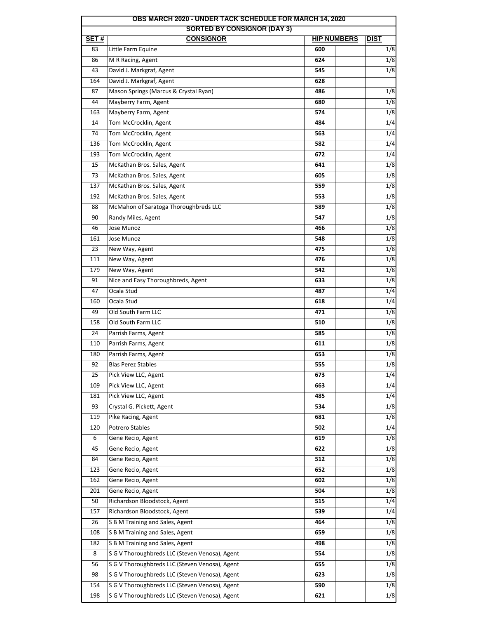|      | <b>SORTED BY CONSIGNOR (DAY 3)</b>             |                    |                  |
|------|------------------------------------------------|--------------------|------------------|
| SET# | <b>CONSIGNOR</b>                               | <b>HIP NUMBERS</b> | <b>DIST</b>      |
| 83   | Little Farm Equine                             | 600                | 1/8              |
| 86   | M R Racing, Agent                              | 624                | 1/8              |
| 43   | David J. Markgraf, Agent                       | 545                | 1/8              |
| 164  | David J. Markgraf, Agent                       | 628                |                  |
| 87   | Mason Springs (Marcus & Crystal Ryan)          | 486                | 1/8              |
| 44   | Mayberry Farm, Agent                           | 680                | 1/8              |
| 163  | Mayberry Farm, Agent                           | 574                | 1/8              |
| 14   | Tom McCrocklin, Agent                          | 484                | 1/4              |
| 74   | Tom McCrocklin, Agent                          | 563                | 1/4              |
| 136  | Tom McCrocklin, Agent                          | 582                | 1/4              |
| 193  | Tom McCrocklin, Agent                          | 672                | 1/4              |
| 15   | McKathan Bros. Sales, Agent                    | 641                | 1/8              |
| 73   | McKathan Bros. Sales, Agent                    | 605                | 1/8              |
| 137  | McKathan Bros. Sales, Agent                    | 559                | 1/8              |
| 192  | McKathan Bros. Sales, Agent                    | 553                | 1/8              |
| 88   | McMahon of Saratoga Thoroughbreds LLC          | 589                | 1/8              |
| 90   | Randy Miles, Agent                             | 547                | 1/8              |
| 46   | Jose Munoz                                     | 466                | 1/8              |
| 161  | Jose Munoz                                     | 548                | 1/8              |
| 23   | New Way, Agent                                 | 475                | 1/8              |
| 111  | New Way, Agent                                 | 476                | 1/8              |
| 179  | New Way, Agent                                 | 542                | 1/8              |
| 91   | Nice and Easy Thoroughbreds, Agent             | 633                | 1/8              |
| 47   | Ocala Stud                                     | 487                | 1/4              |
| 160  | Ocala Stud                                     | 618                | 1/4              |
| 49   | Old South Farm LLC                             | 471                | 1/8              |
| 158  | Old South Farm LLC                             | 510                | 1/8              |
| 24   | Parrish Farms, Agent                           | 585                | 1/8              |
| 110  | Parrish Farms, Agent                           | 611                | 1/8              |
| 180  | Parrish Farms, Agent                           | 653                | 1/8              |
| 92   | <b>Blas Perez Stables</b>                      | 555                | 1/8              |
| 25   | Pick View LLC, Agent                           | 673                | 1/4              |
| 109  | Pick View LLC, Agent                           | 663                | 1/4              |
| 181  | Pick View LLC, Agent                           | 485                | 1/4              |
| 93   | Crystal G. Pickett, Agent                      | 534                | 1/8              |
| 119  | Pike Racing, Agent                             | 681                | 1/8              |
| 120  | Potrero Stables                                | 502                | $\overline{1/4}$ |
| 6    | Gene Recio, Agent                              | 619                | 1/8              |
| 45   | Gene Recio, Agent                              | 622                | 1/8              |
| 84   | Gene Recio, Agent                              | 512                | 1/8              |
| 123  | Gene Recio, Agent                              | 652                | 1/8              |
| 162  | Gene Recio, Agent                              | 602                | 1/8              |
| 201  | Gene Recio, Agent                              | 504                | 1/8              |
| 50   | Richardson Bloodstock, Agent                   | 515                | 1/4              |
| 157  | Richardson Bloodstock, Agent                   | 539                | 1/4              |
| 26   | S B M Training and Sales, Agent                | 464                | 1/8              |
| 108  | S B M Training and Sales, Agent                | 659                | 1/8              |
| 182  | S B M Training and Sales, Agent                | 498                | 1/8              |
| 8    | S G V Thoroughbreds LLC (Steven Venosa), Agent | 554                | 1/8              |
| 56   | S G V Thoroughbreds LLC (Steven Venosa), Agent | 655                | 1/8              |
| 98   | S G V Thoroughbreds LLC (Steven Venosa), Agent | 623                | 1/8              |
| 154  | S G V Thoroughbreds LLC (Steven Venosa), Agent | 590                | 1/8              |
| 198  | S G V Thoroughbreds LLC (Steven Venosa), Agent | 621                | 1/8              |